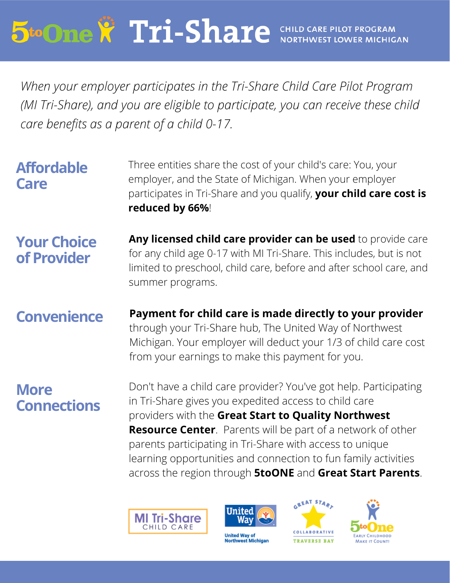# **5to One & Tri-Share** CHILD CARE PILOT PROGRAM **NORTHWEST LOWER MICHIGAN**

*When your employer participates in the Tri-Share Child Care Pilot Program (MI Tri-Share), and you are eligible to participate, you can receive these child care benefits as a parent of a child 0-17.*

|                   | reduced by 66%!                                                    |  |
|-------------------|--------------------------------------------------------------------|--|
|                   | participates in Tri-Share and you qualify, your child care cost is |  |
| Care              | employer, and the State of Michigan. When your employer            |  |
| <b>Affordable</b> | Three entities share the cost of your child's care: You, your      |  |
|                   |                                                                    |  |

**Any licensed child care provider can be used** to provide care for any child age 0-17 with MI Tri-Share. This includes, but is not limited to preschool, child care, before and after school care, and summer programs. **Your Choice of Provider**

**Payment for child care is made directly to your provider** through your Tri-Share hub, The United Way of Northwest Michigan. Your employer will deduct your 1/3 of child care cost from your earnings to make this payment for you. **Convenience**

### **More Connections**

Don't have a child care provider? You've got help. Participating in Tri-Share gives you expedited access to child care providers with the **Great Start to Quality Northwest Resource Center**. Parents will be part of a network of other parents participating in Tri-Share with access to unique learning opportunities and connection to fun family activities across the region through **5toONE** and **Great Start Parents**.





**United Way of Northwest Michigan**